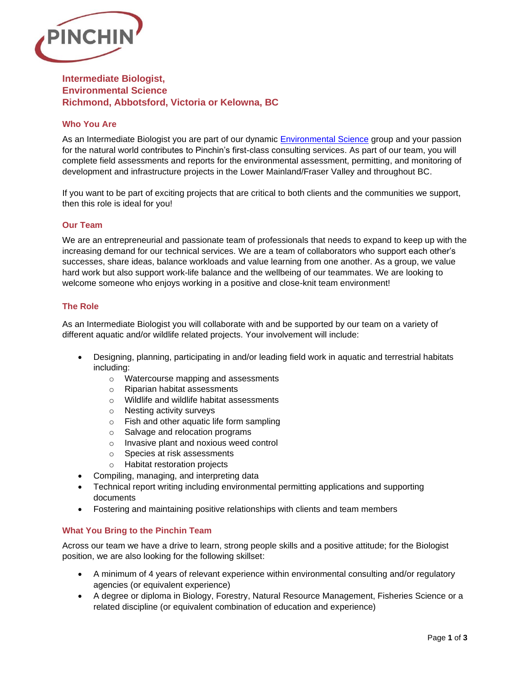

# **Intermediate Biologist, Environmental Science Richmond, Abbotsford, Victoria or Kelowna, BC**

## **Who You Are**

As an Intermediate Biologist you are part of our dynamic [Environmental Science](https://www.pinchin.com/services/environmental-science/271) group and your passion for the natural world contributes to Pinchin's first-class consulting services. As part of our team, you will complete field assessments and reports for the environmental assessment, permitting, and monitoring of development and infrastructure projects in the Lower Mainland/Fraser Valley and throughout BC.

If you want to be part of exciting projects that are critical to both clients and the communities we support, then this role is ideal for you!

### **Our Team**

We are an entrepreneurial and passionate team of professionals that needs to expand to keep up with the increasing demand for our technical services. We are a team of collaborators who support each other's successes, share ideas, balance workloads and value learning from one another. As a group, we value hard work but also support work-life balance and the wellbeing of our teammates. We are looking to welcome someone who enjoys working in a positive and close-knit team environment!

## **The Role**

As an Intermediate Biologist you will collaborate with and be supported by our team on a variety of different aquatic and/or wildlife related projects. Your involvement will include:

- Designing, planning, participating in and/or leading field work in aquatic and terrestrial habitats including:
	- o Watercourse mapping and assessments
	- o Riparian habitat assessments
	- o Wildlife and wildlife habitat assessments
	- o Nesting activity surveys
	- o Fish and other aquatic life form sampling
	- o Salvage and relocation programs
	- o Invasive plant and noxious weed control
	- o Species at risk assessments
	- o Habitat restoration projects
- Compiling, managing, and interpreting data
- Technical report writing including environmental permitting applications and supporting documents
- Fostering and maintaining positive relationships with clients and team members

## **What You Bring to the Pinchin Team**

Across our team we have a drive to learn, strong people skills and a positive attitude; for the Biologist position, we are also looking for the following skillset:

- A minimum of 4 years of relevant experience within environmental consulting and/or regulatory agencies (or equivalent experience)
- A degree or diploma in Biology, Forestry, Natural Resource Management, Fisheries Science or a related discipline (or equivalent combination of education and experience)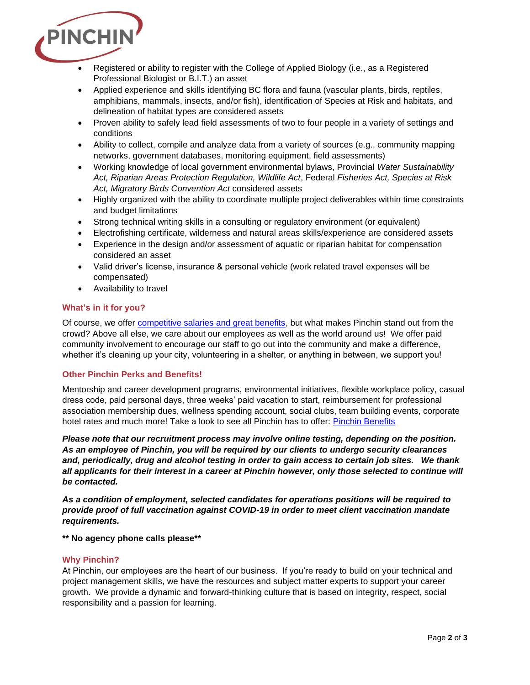

- Registered or ability to register with the College of Applied Biology (i.e., as a Registered Professional Biologist or B.I.T.) an asset
- Applied experience and skills identifying BC flora and fauna (vascular plants, birds, reptiles, amphibians, mammals, insects, and/or fish), identification of Species at Risk and habitats, and delineation of habitat types are considered assets
- Proven ability to safely lead field assessments of two to four people in a variety of settings and conditions
- Ability to collect, compile and analyze data from a variety of sources (e.g., community mapping networks, government databases, monitoring equipment, field assessments)
- Working knowledge of local government environmental bylaws, Provincial *Water Sustainability Act, Riparian Areas Protection Regulation, Wildlife Act*, Federal *Fisheries Act, Species at Risk Act, Migratory Birds Convention Act* considered assets
- Highly organized with the ability to coordinate multiple project deliverables within time constraints and budget limitations
- Strong technical writing skills in a consulting or regulatory environment (or equivalent)
- Electrofishing certificate, wilderness and natural areas skills/experience are considered assets
- Experience in the design and/or assessment of aquatic or riparian habitat for compensation considered an asset
- Valid driver's license, insurance & personal vehicle (work related travel expenses will be compensated)
- Availability to travel

#### **What's in it for you?**

Of course, we offer [competitive salaries and great benefits,](https://www.pinchin.com/working-at-pinchin/benefits/149) but what makes Pinchin stand out from the crowd? Above all else, we care about our employees as well as the world around us! We offer paid community involvement to encourage our staff to go out into the community and make a difference, whether it's cleaning up your city, volunteering in a shelter, or anything in between, we support you!

#### **Other Pinchin Perks and Benefits!**

Mentorship and career development programs, environmental initiatives, flexible workplace policy, casual dress code, paid personal days, three weeks' paid vacation to start, reimbursement for professional association membership dues, wellness spending account, social clubs, team building events, corporate hotel rates and much more! Take a look to see all Pinchin has to offer: [Pinchin Benefits](https://www.pinchin.com/working-at-pinchin/benefits/149)

*Please note that our recruitment process may involve online testing, depending on the position. As an employee of Pinchin, you will be required by our clients to undergo security clearances and, periodically, drug and alcohol testing in order to gain access to certain job sites. We thank all applicants for their interest in a career at Pinchin however, only those selected to continue will be contacted.* 

*As a condition of employment, selected candidates for operations positions will be required to provide proof of full vaccination against COVID-19 in order to meet client vaccination mandate requirements.* 

**\*\* No agency phone calls please\*\***

#### **Why Pinchin?**

At Pinchin, our employees are the heart of our business. If you're ready to build on your technical and project management skills, we have the resources and subject matter experts to support your career growth. We provide a dynamic and forward-thinking culture that is based on integrity, respect, social responsibility and a passion for learning.